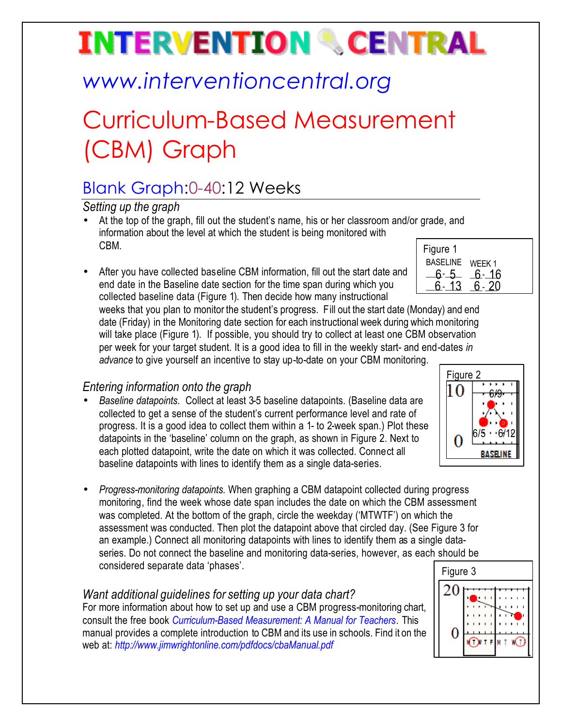# **INTERVENTION & CENTRAL**

## *www.interventioncentral.org*

## Curriculum-Based Measurement (CBM) Graph

### Blank Graph:0-40:12 Weeks

*Setting up the graph*

- Figure 1 • At the top of the graph, fill out the student's name, his or her classroom and/or grade, and information about the level at which the student is being monitored with CBM.
- After you have collected baseline CBM information, fill out the start date and end date in the Baseline date section for the time span during which you collected baseline data (Figure 1). Then decide how many instructional

| BASELINE | WEEK 1 |
|----------|--------|
|          | 16     |
|          |        |
|          |        |

weeks that you plan to monitor the student's progress. Fill out the start date (Monday) and end date (Friday) in the Monitoring date section for each instructional week during which monitoring will take place (Figure 1). If possible, you should try to collect at least one CBM observation per week for your target student. It is a good idea to fill in the weekly start- and end-dates *in advance* to give yourself an incentive to stay up-to-date on your CBM monitoring.

### *Entering information onto the graph*

- *Baseline datapoints*. Collect at least 3-5 baseline datapoints. (Baseline data are collected to get a sense of the student's current performance level and rate of progress. It is a good idea to collect them within a 1- to 2-week span.) Plot these datapoints in the 'baseline' column on the graph, as shown in Figure 2. Next to each plotted datapoint, write the date on which it was collected. Connect all baseline datapoints with lines to identify them as a single data-series.
- *Progress-monitoring datapoints*. When graphing a CBM datapoint collected during progress monitoring, find the week whose date span includes the date on which the CBM assessment was completed. At the bottom of the graph, circle the weekday ('MTWTF') on which the assessment was conducted. Then plot the datapoint above that circled day. (See Figure 3 for an example.) Connect all monitoring datapoints with lines to identify them as a single dataseries. Do not connect the baseline and monitoring data-series, however, as each should be considered separate data 'phases'.

#### *Want additional guidelines for setting up your data chart?*

For more information about how to set up and use a CBM progress-monitoring chart, consult the free book *Curriculum-Based Measurement: A Manual for Teachers.* This manual provides a complete introduction to CBM and its use in schools. Find it on the web at: *http://www.jimwrightonline.com/pdfdocs/cbaManual.pdf*